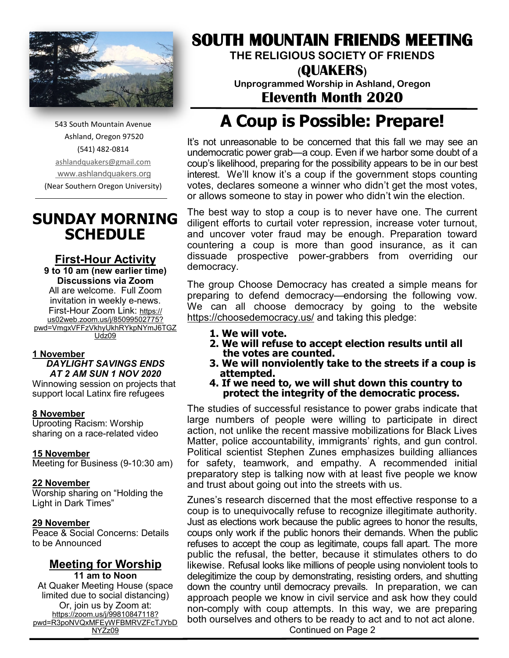

543 South Mountain Avenue Ashland, Oregon 97520 (541) 482-0814 [ashlandquakers@gmail.com](mailto:ashlandquakers@gmail.com) [www.ashlandquakers.org](http://www.ashlandquakers.org) (Near Southern Oregon University)

### **SUNDAY MORNING SCHEDULE**

**First-Hour Activity 9 to 10 am (new earlier time) Discussions via Zoom** All are welcome. Full Zoom invitation in weekly e-news. First-Hour Zoom Link: [https://](https://us02web.zoom.us/j/85099502775?pwd=VmgxVFFzVkhyUkhRYkpNYmJ6TGZUdz09) [us02web.zoom.us/j/85099502775?](https://us02web.zoom.us/j/85099502775?pwd=VmgxVFFzVkhyUkhRYkpNYmJ6TGZUdz09) [pwd=VmgxVFFzVkhyUkhRYkpNYmJ6TGZ](https://us02web.zoom.us/j/85099502775?pwd=VmgxVFFzVkhyUkhRYkpNYmJ6TGZUdz09) [Udz09](https://us02web.zoom.us/j/85099502775?pwd=VmgxVFFzVkhyUkhRYkpNYmJ6TGZUdz09)

#### **1 November**

#### *DAYLIGHT SAVINGS ENDS AT 2 AM SUN 1 NOV 2020*

Winnowing session on projects that support local Latinx fire refugees

#### **8 November**

Uprooting Racism: Worship sharing on a race-related video

#### **15 November**

Meeting for Business (9-10:30 am)

#### **22 November**

Worship sharing on "Holding the Light in Dark Times"

#### **29 November**

Peace & Social Concerns: Details to be Announced

#### **Meeting for Worship 11 am to Noon**

At Quaker Meeting House (space limited due to social distancing) Or, join us by Zoom at: [https://zoom.us/j/99810847118?](https://zoom.us/j/99810847118?pwd=R3poNVQxMFEyWFBMRVZFcTJYbDNYZz09) [pwd=R3poNVQxMFEyWFBMRVZFcTJYbD](https://zoom.us/j/99810847118?pwd=R3poNVQxMFEyWFBMRVZFcTJYbDNYZz09) [NYZz09](https://zoom.us/j/99810847118?pwd=R3poNVQxMFEyWFBMRVZFcTJYbDNYZz09)

### **SOUTH MOUNTAIN FRIENDS MEETING**

**THE RELIGIOUS SOCIETY OF FRIENDS**

**(QUAKERS) Unprogrammed Worship in Ashland, Oregon Eleventh Month 2020** 

## **A Coup is Possible: Prepare!**

It's not unreasonable to be concerned that this fall we may see an undemocratic power grab—a coup. Even if we harbor some doubt of a coup's likelihood, preparing for the possibility appears to be in our best interest. We'll know it's a coup if the government stops counting votes, declares someone a winner who didn't get the most votes, or allows someone to stay in power who didn't win the election.

The best way to stop a coup is to never have one. The current diligent efforts to curtail voter repression, increase voter turnout, and uncover voter fraud may be enough. Preparation toward countering a coup is more than good insurance, as it can dissuade prospective power-grabbers from overriding our democracy.

The group Choose Democracy has created a simple means for preparing to defend democracy—endorsing the following vow. We can all choose democracy by going to the website <https://choosedemocracy.us/> and taking this pledge:

- **1. We will vote.**
- **2. We will refuse to accept election results until all the votes are counted.**
- **3. We will nonviolently take to the streets if a coup is attempted.**
- **4. If we need to, we will shut down this country to protect the integrity of the democratic process.**

The studies of successful resistance to power grabs indicate that large numbers of people were willing to participate in direct action, not unlike the recent massive mobilizations for Black Lives Matter, police accountability, immigrants' rights, and gun control. Political scientist Stephen Zunes emphasizes building alliances for safety, teamwork, and empathy. A recommended initial preparatory step is talking now with at least five people we know and trust about going out into the streets with us.

Zunes's research discerned that the most effective response to a coup is to unequivocally refuse to recognize illegitimate authority. Just as elections work because the public agrees to honor the results, coups only work if the public honors their demands. When the public refuses to accept the coup as legitimate, coups fall apart. The more public the refusal, the better, because it stimulates others to do likewise. Refusal looks like millions of people using nonviolent tools to delegitimize the coup by demonstrating, resisting orders, and shutting down the country until democracy prevails. In preparation, we can approach people we know in civil service and ask how they could non-comply with coup attempts. In this way, we are preparing both ourselves and others to be ready to act and to not act alone. Continued on Page 2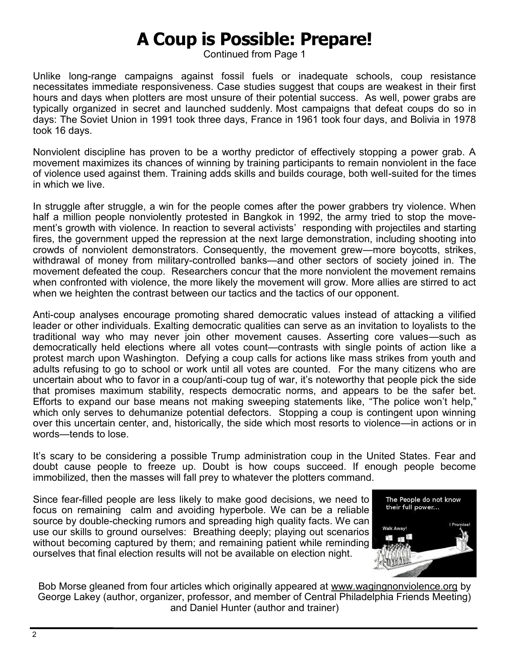# **A Coup is Possible: Prepare!**

Continued from Page 1

Unlike long-range campaigns against fossil fuels or inadequate schools, coup resistance necessitates immediate responsiveness. Case studies suggest that coups are weakest in their first hours and days when plotters are most unsure of their potential success. As well, power grabs are typically organized in secret and launched suddenly. Most campaigns that defeat coups do so in [days:](https://wagingnonviolence.org/2020/08/mass-direct-action-might-be-the-only-way-to-stop-trump-from-stealing-the-election/) The Soviet Union in 1991 took three days, France in 1961 took four days, and Bolivia in 1978 took 16 days.

Nonviolent discipline has proven to be a worthy predictor of effectively stopping a power grab. A movement maximizes its chances of winning by training participants to remain nonviolent in the face [of violence](https://wagingnonviolence.org/2015/02/ingr%20edients-building-courage/) used against them. Training adds skills and builds courage, both well-suited for the times in which we live.

In struggle after struggle, a win for the people comes after the power grabbers try violence. When half a million people nonviolently protested in Bangkok in 1992, the army tried to stop the movement's growth with violence. In reaction to several activists' responding with projectiles and starting fires, the government upped the repression at the next large demonstration, including shooting into crowds of nonviolent demonstrators. Consequently, the movement grew—more boycotts, strikes, withdrawal of money from military-controlled banks—and other sectors of society joined in. The movement defeated the coup. Researchers concur that the more nonviolent the movement remains when confronted with violence, the more likely the movement will grow. More allies are stirred to act when we heighten the contrast between our tactics and the tactics of our opponent.

Anti-coup analyses encourage promoting shared democratic values instead of attacking a vilified leader or other individuals. Exalting democratic qualities can serve as an invitation to loyalists to the traditional way who may never join other movement causes. Asserting core values—such as democratically held elections where all votes count—contrasts with single points of action like a protest march upon Washington. Defying a coup calls for actions like mass strikes from youth and adults refusing to go to school or work until all votes are counted. For the many citizens who are uncertain about who to favor in a coup/anti-coup tug of war, it's noteworthy that people pick the side that promises maximum stability, respects democratic norms, and appears to be the safer bet. Efforts to expand our base means not making sweeping statements like, "The police won't help," which only serves to dehumanize potential defectors. Stopping a coup is contingent upon winning over this uncertain center, and, historically, the side which most resorts to violence—in actions or in words—tends to lose.

It's scary to be considering a possible Trump administration coup in the United States. Fear and doubt cause people to freeze up. Doubt is how coups succeed. If enough people become immobilized, then the masses will fall prey to whatever the plotters command.

Since fear-filled people are less likely to make good decisions, we need to focus on remaining calm and avoiding hyperbole. We can be a reliable source by double-checking rumors and spreading high quality facts. We can use our skills to ground ourselves: Breathing deeply; playing out scenarios without becoming captured by them; and remaining patient while reminding ourselves that final election results will not be available on election night.



Bob Morse gleaned from four articles which originally appeared at [www.wagingnonviolence.org](http://www.wagingnonviolence.org) by George Lakey (author, organizer, professor, and member of Central Philadelphia Friends Meeting) and Daniel Hunter (author and trainer)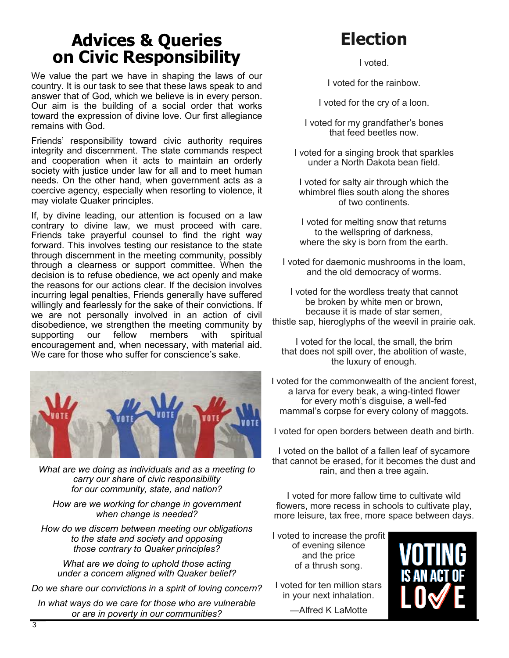### **Advices & Queries on Civic Responsibility**

We value the part we have in shaping the laws of our country. It is our task to see that these laws speak to and answer that of God, which we believe is in every person. Our aim is the building of a social order that works toward the expression of divine love. Our first allegiance remains with God.

Friends' responsibility toward civic authority requires integrity and discernment. The state commands respect and cooperation when it acts to maintain an orderly society with justice under law for all and to meet human needs. On the other hand, when government acts as a coercive agency, especially when resorting to violence, it may violate Quaker principles.

If, by divine leading, our attention is focused on a law contrary to divine law, we must proceed with care. Friends take prayerful counsel to find the right way forward. This involves testing our resistance to the state through discernment in the meeting community, possibly through a clearness or support committee. When the decision is to refuse obedience, we act openly and make the reasons for our actions clear. If the decision involves incurring legal penalties, Friends generally have suffered willingly and fearlessly for the sake of their convictions. If we are not personally involved in an action of civil disobedience, we strengthen the meeting community by<br>supporting our fellow members with spiritual supporting our fellow members with spiritual encouragement and, when necessary, with material aid. We care for those who suffer for conscience's sake.



*What are we doing as individuals and as a meeting to carry our share of civic responsibility for our community, state, and nation?*

*How are we working for change in government when change is needed?*

*How do we discern between meeting our obligations to the state and society and opposing those contrary to Quaker principles?*

*What are we doing to uphold those acting under a concern aligned with Quaker belief?*

*Do we share our convictions in a spirit of loving concern?*

*In what ways do we care for those who are vulnerable or are in poverty in our communities?*

### **Election**

I voted.

I voted for the rainbow.

I voted for the cry of a loon.

I voted for my grandfather's bones that feed beetles now.

I voted for a singing brook that sparkles under a North Dakota bean field.

I voted for salty air through which the whimbrel flies south along the shores of two continents.

I voted for melting snow that returns to the wellspring of darkness, where the sky is born from the earth.

I voted for daemonic mushrooms in the loam, and the old democracy of worms.

I voted for the wordless treaty that cannot be broken by white men or brown, because it is made of star semen, thistle sap, hieroglyphs of the weevil in prairie oak.

I voted for the local, the small, the brim that does not spill over, the abolition of waste, the luxury of enough.

I voted for the commonwealth of the ancient forest, a larva for every beak, a wing-tinted flower for every moth's disguise, a well-fed mammal's corpse for every colony of maggots.

I voted for open borders between death and birth.

I voted on the ballot of a fallen leaf of sycamore that cannot be erased, for it becomes the dust and rain, and then a tree again.

I voted for more fallow time to cultivate wild flowers, more recess in schools to cultivate play, more leisure, tax free, more space between days.

I voted to increase the profit of evening silence and the price of a thrush song.

I voted for ten million stars in your next inhalation.

—Alfred K LaMotte

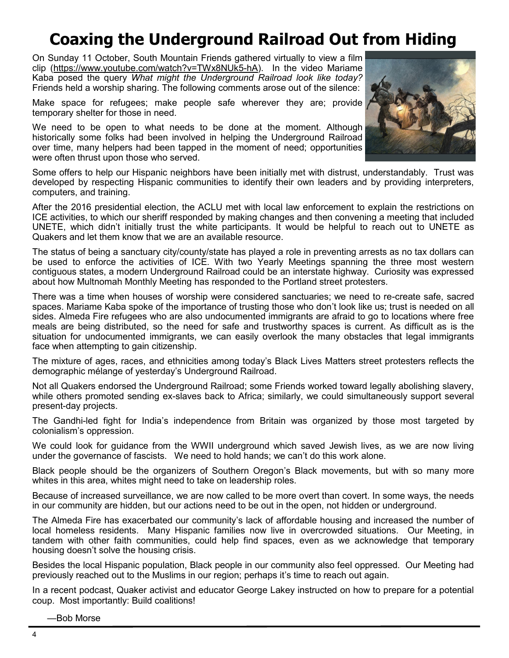### **Coaxing the Underground Railroad Out from Hiding**

On Sunday 11 October, South Mountain Friends gathered virtually to view a film clip [\(https://www.youtube.com/watch?v=TWx8NUk5](https://www.youtube.com/watch?v=TWx8NUk5-hA)-hA). In the video Mariame Kaba posed the query *What might the Underground Railroad look like today?* Friends held a worship sharing. The following comments arose out of the silence:

Make space for refugees; make people safe wherever they are; provide temporary shelter for those in need.

We need to be open to what needs to be done at the moment. Although historically some folks had been involved in helping the Underground Railroad over time, many helpers had been tapped in the moment of need; opportunities were often thrust upon those who served.



Some offers to help our Hispanic neighbors have been initially met with distrust, understandably. Trust was developed by respecting Hispanic communities to identify their own leaders and by providing interpreters, computers, and training.

After the 2016 presidential election, the ACLU met with local law enforcement to explain the restrictions on ICE activities, to which our sheriff responded by making changes and then convening a meeting that included UNETE, which didn't initially trust the white participants. It would be helpful to reach out to UNETE as Quakers and let them know that we are an available resource.

The status of being a sanctuary city/county/state has played a role in preventing arrests as no tax dollars can be used to enforce the activities of ICE. With two Yearly Meetings spanning the three most western contiguous states, a modern Underground Railroad could be an interstate highway. Curiosity was expressed about how Multnomah Monthly Meeting has responded to the Portland street protesters.

There was a time when houses of worship were considered sanctuaries; we need to re-create safe, sacred spaces. Mariame Kaba spoke of the importance of trusting those who don't look like us; trust is needed on all sides. Almeda Fire refugees who are also undocumented immigrants are afraid to go to locations where free meals are being distributed, so the need for safe and trustworthy spaces is current. As difficult as is the situation for undocumented immigrants, we can easily overlook the many obstacles that legal immigrants face when attempting to gain citizenship.

The mixture of ages, races, and ethnicities among today's Black Lives Matters street protesters reflects the demographic mélange of yesterday's Underground Railroad.

Not all Quakers endorsed the Underground Railroad; some Friends worked toward legally abolishing slavery, while others promoted sending ex-slaves back to Africa; similarly, we could simultaneously support several present-day projects.

The Gandhi-led fight for India's independence from Britain was organized by those most targeted by colonialism's oppression.

We could look for guidance from the WWII underground which saved Jewish lives, as we are now living under the governance of fascists. We need to hold hands; we can't do this work alone.

Black people should be the organizers of Southern Oregon's Black movements, but with so many more whites in this area, whites might need to take on leadership roles.

Because of increased surveillance, we are now called to be more overt than covert. In some ways, the needs in our community are hidden, but our actions need to be out in the open, not hidden or underground.

The Almeda Fire has exacerbated our community's lack of affordable housing and increased the number of local homeless residents. Many Hispanic families now live in overcrowded situations. Our Meeting, in tandem with other faith communities, could help find spaces, even as we acknowledge that temporary housing doesn't solve the housing crisis.

Besides the local Hispanic population, Black people in our community also feel oppressed. Our Meeting had previously reached out to the Muslims in our region; perhaps it's time to reach out again.

In a recent podcast, Quaker activist and educator George Lakey instructed on how to prepare for a potential coup. Most importantly: Build coalitions!

—Bob Morse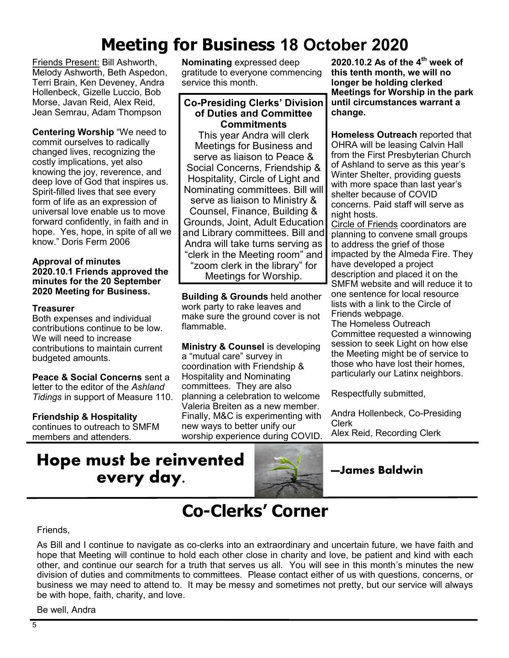## **Meeting for Business 18 October 2020**

Friends Present: Bill Ashworth, Melody Ashworth, Beth Aspedon, Terri Brain, Ken Deveney, Andra Hollenbeck, Gizelle Luccio, Bob Morse, Javan Reid, Alex Reid, Jean Semrau, Adam Thompson

**Centering Worship** "We need to commit ourselves to radically changed lives, recognizing the costly implications, yet also knowing the joy, reverence, and deep love of God that inspires us. Spirit-filled lives that see every form of life as an expression of universal love enable us to move forward confidently, in faith and in hope. Yes, hope, in spite of all we know." Doris Ferm 2006

#### **Approval of minutes 2020.10.1 Friends approved the minutes for the 20 September 2020 Meeting for Business.**

#### **Treasurer**

Both expenses and individual contributions continue to be low. We will need to increase contributions to maintain current budgeted amounts.

**Peace & Social Concerns** sent a letter to the editor of the *Ashland Tidings* in support of Measure 110.

#### **Friendship & Hospitality**

continues to outreach to SMFM members and attenders.

**Nominating** expressed deep gratitude to everyone commencing service this month.

#### **Co-Presiding Clerks' Division of Duties and Committee Commitments**

This year Andra will clerk Meetings for Business and serve as liaison to Peace & Social Concerns, Friendship & Hospitality, Circle of Light and Nominating committees. Bill will serve as liaison to Ministry & Counsel, Finance, Building & Grounds, Joint, Adult Education and Library committees. Bill and Andra will take turns serving as "clerk in the Meeting room" and "zoom clerk in the library" for Meetings for Worship.

**Building & Grounds** held another work party to rake leaves and make sure the ground cover is not flammable.

**Ministry & Counsel is developing** a "mutual care" survey in coordination with Friendship & Hospitality and Nominating committees. They are also planning a celebration to welcome Valeria Breiten as a new member. Finally, M&C is experimenting with new ways to better unify our worship experience during COVID.

**2020.10.2 As of the 4th week of this tenth month, we will no longer be holding clerked Meetings for Worship in the park until circumstances warrant a change.**

**Homeless Outreach** reported that OHRA will be leasing Calvin Hall from the First Presbyterian Church of Ashland to serve as this year's Winter Shelter, providing guests with more space than last year's shelter because of COVID concerns. Paid staff will serve as night hosts.

Circle of Friends coordinators are planning to convene small groups to address the grief of those impacted by the Almeda Fire. They have developed a project description and placed it on the SMFM website and will reduce it to one sentence for local resource lists with a link to the Circle of Friends webpage.

The Homeless Outreach Committee requested a winnowing session to seek Light on how else the Meeting might be of service to those who have lost their homes, particularly our Latinx neighbors.

Respectfully submitted,

Andra Hollenbeck, Co-Presiding Clerk Alex Reid, Recording Clerk

### **Hope must be reinvented every day.**



**—James Baldwin**

## **Co-Clerks' Corner**

Friends,

As Bill and I continue to navigate as co-clerks into an extraordinary and uncertain future, we have faith and hope that Meeting will continue to hold each other close in charity and love, be patient and kind with each other, and continue our search for a truth that serves us all. You will see in this month's minutes the new division of duties and commitments to committees. Please contact either of us with questions, concerns, or business we may need to attend to. It may be messy and sometimes not pretty, but our service will always be with hope, faith, charity, and love.

Be well, Andra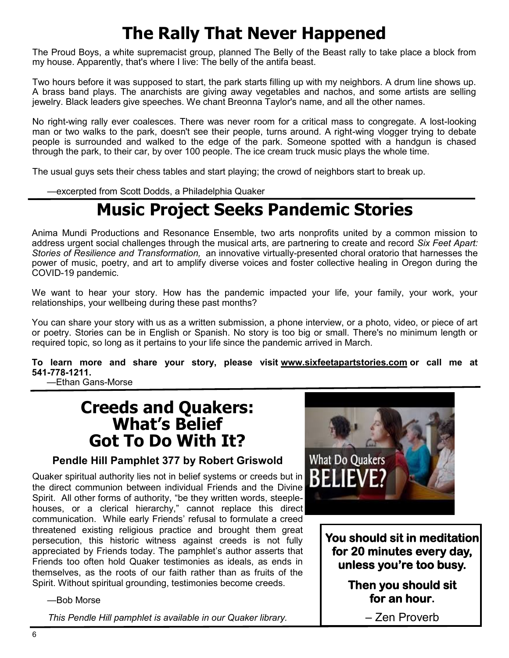# **The Rally That Never Happened**

The Proud Boys, a white supremacist group, planned The Belly of the Beast rally to take place a block from my house. Apparently, that's where I live: The belly of the antifa beast.

Two hours before it was supposed to start, the park starts filling up with my neighbors. A drum line shows up. A brass band plays. The anarchists are giving away vegetables and nachos, and some artists are selling jewelry. Black leaders give speeches. We chant Breonna Taylor's name, and all the other names.

No right-wing rally ever coalesces. There was never room for a critical mass to congregate. A lost-looking man or two walks to the park, doesn't see their people, turns around. A right-wing vlogger trying to debate people is surrounded and walked to the edge of the park. Someone spotted with a handgun is chased through the park, to their car, by over 100 people. The ice cream truck music plays the whole time.

The usual guys sets their chess tables and start playing; the crowd of neighbors start to break up.

—excerpted from Scott Dodds, a Philadelphia Quaker

### **Music Project Seeks Pandemic Stories**

Anima Mundi Productions and Resonance Ensemble, two arts nonprofits united by a common mission to address urgent social challenges through the musical arts, are partnering to create and record *Six Feet Apart: Stories of Resilience and Transformation,* an innovative virtually-presented choral oratorio that harnesses the power of music, poetry, and art to amplify diverse voices and foster collective healing in Oregon during the COVID-19 pandemic.

We want to hear your story. How has the pandemic impacted your life, your family, your work, your relationships, your wellbeing during these past months?

You can share your story with us as a written submission, a phone interview, or a photo, video, or piece of art or poetry. Stories can be in English or Spanish. No story is too big or small. There's no minimum length or required topic, so long as it pertains to your life since the pandemic arrived in March.

#### **To learn more and share your story, please visit [www.sixfeetapartstories.com](http://www.sixfeetapartstories.com) or call me at 541-778-1211.**

—Ethan Gans-Morse

### **Creeds and Quakers: What's Belief Got To Do With It?**

#### **Pendle Hill Pamphlet 377 by Robert Griswold**

Quaker spiritual authority lies not in belief systems or creeds but in the direct communion between individual Friends and the Divine Spirit. All other forms of authority, "be they written words, steeplehouses, or a clerical hierarchy," cannot replace this direct communication. While early Friends' refusal to formulate a creed threatened existing religious practice and brought them great persecution, this historic witness against creeds is not fully appreciated by Friends today. The pamphlet's author asserts that Friends too often hold Quaker testimonies as ideals, as ends in themselves, as the roots of our faith rather than as fruits of the Spirit. Without spiritual grounding, testimonies become creeds.

—Bob Morse

*This Pendle Hill pamphlet is available in our Quaker library.*



**You should sit in meditation for 20 minutes every day, unless you're too busy.** 

> **Then you should sit for an hour.**

> > – Zen Proverb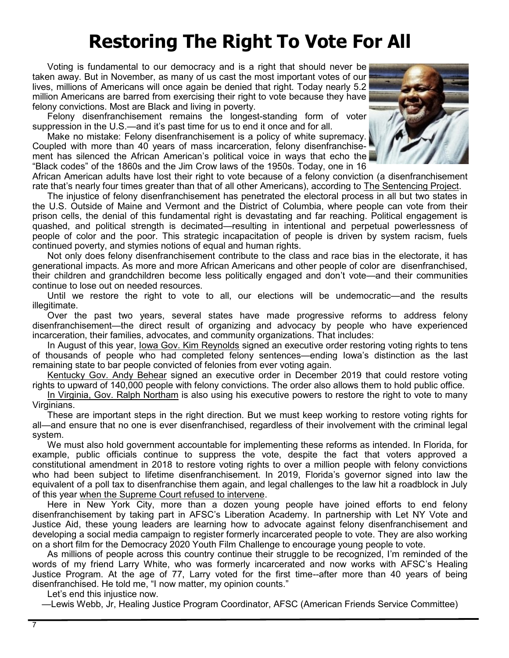# **Restoring The Right To Vote For All**

Voting is fundamental to our democracy and is a right that should never be taken away. But in November, as many of us cast the most important votes of our lives, millions of Americans will once again be denied that right. Today nearly 5.2 million Americans are barred from exercising their right to vote because they have felony convictions. Most are Black and living in poverty.

Felony disenfranchisement remains the longest-standing form of voter suppression in the U.S.—and it's past time for us to end it once and for all.

Make no mistake: Felony disenfranchisement is a policy of white supremacy. Coupled with more than 40 years of mass incarceration, felony disenfranchisement has silenced the African American's political voice in ways that echo the "Black codes" of the 1860s and the Jim Crow laws of the 1950s. Today, one in 16



African American adults have lost their right to vote because of a felony conviction (a disenfranchisement rate that's nearly four times greater than that of all other Americans), according to [The Sentencing Project.](https://www.afsc.org/blogs/news-and-commentary/According%20to%20recent%20estimates,%20nearly%20one%20in%20every%2016%20African%20American%20adults%20are%20denied%20the%20right%20to%20vote%20as%20a%20result%20of%20state%20policies%20that%20limit%20access%20to%)

The injustice of felony disenfranchisement has penetrated the electoral process in all but two states in the U.S. Outside of Maine and Vermont and the District of Columbia, where people can vote from their prison cells, the denial of this fundamental right is devastating and far reaching. Political engagement is quashed, and political strength is decimated—resulting in intentional and perpetual powerlessness of people of color and the poor. This strategic incapacitation of people is driven by system racism, fuels continued poverty, and stymies notions of equal and human rights.

Not only does felony disenfranchisement contribute to the class and race bias in the electorate, it has generational impacts. As more and more African Americans and other people of color are disenfranchised, their children and grandchildren become less politically engaged and don't vote—and their communities continue to lose out on needed resources.

Until we restore the right to vote to all, our elections will be undemocratic—and the results illegitimate.

Over the past two years, several states have made progressive reforms to address felony disenfranchisement—the direct result of organizing and advocacy by people who have experienced incarceration, their families, advocates, and community organizations. That includes:

In August of this year, [Iowa Gov. Kim Reynolds](https://www.desmoinesregister.com/story/news/politics/2020/08/05/iowa-governor-kim-reynolds-signs-felon-voting-rights-executive-order-before-november-election/5573994002/) signed an executive order restoring voting rights to tens of thousands of people who had completed felony sentences—ending Iowa's distinction as the last remaining state to bar people convicted of felonies from ever voting again.

[Kentucky Gov. Andy Behear](https://www.vox.com/policy-and-politics/2019/12/12/21011099/kentucky-governor-felon-voting-rights-andy-beshear) signed an executive order in December 2019 that could restore voting rights to upward of 140,000 people with felony convictions. The order also allows them to hold public office.

[In Virginia, Gov. Ralph Northam](https://thehill.com/homenews/state-watch/465262-virginia-gov-says-he-restored-voting-rights-for-22000-people-with-felony) is also using his executive powers to restore the right to vote to many Virginians.

These are important steps in the right direction. But we must keep working to restore voting rights for all—and ensure that no one is ever disenfranchised, regardless of their involvement with the criminal legal system.

We must also hold government accountable for implementing these reforms as intended. In Florida, for example, public officials continue to suppress the vote, despite the fact that voters approved a constitutional amendment in 2018 to restore voting rights to over a million people with felony convictions who had been subject to lifetime disenfranchisement. In 2019, Florida's governor signed into law the equivalent of a poll tax to disenfranchise them again, and legal challenges to the law hit a roadblock in July of this year [when the Supreme Court refused to intervene.](https://www.npr.org/2020/07/17/892105780/supreme-court-deals-major-blow-to-ex-felons-right-to-vote-in-florida)

Here in New York City, more than a dozen young people have joined efforts to end felony disenfranchisement by taking part in AFSC's Liberation Academy. In partnership with Let NY Vote and Justice Aid, these young leaders are learning how to advocate against felony disenfranchisement and developing a social media campaign to register formerly incarcerated people to vote. They are also working on a short film for the Democracy 2020 Youth Film Challenge to encourage young people to vote.

As millions of people across this country continue their struggle to be recognized, I'm reminded of the words of my friend Larry White, who was formerly incarcerated and now works with AFSC's Healing Justice Program. At the age of 77, Larry voted for the first time--after more than 40 years of being disenfranchised. He told me, "I now matter, my opinion counts."

Let's end this injustice now.

—Lewis Webb, Jr, Healing Justice Program Coordinator, AFSC (American Friends Service Committee)